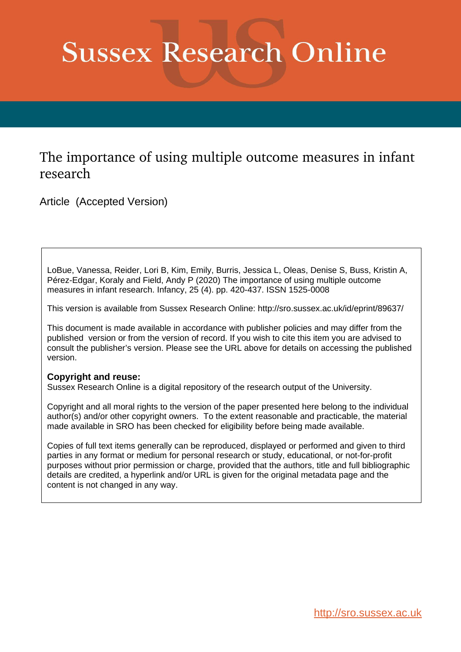# **Sussex Research Online**

# The importance of using multiple outcome measures in infant research

Article (Accepted Version)

LoBue, Vanessa, Reider, Lori B, Kim, Emily, Burris, Jessica L, Oleas, Denise S, Buss, Kristin A, Pérez-Edgar, Koraly and Field, Andy P (2020) The importance of using multiple outcome measures in infant research. Infancy, 25 (4). pp. 420-437. ISSN 1525-0008

This version is available from Sussex Research Online: http://sro.sussex.ac.uk/id/eprint/89637/

This document is made available in accordance with publisher policies and may differ from the published version or from the version of record. If you wish to cite this item you are advised to consult the publisher's version. Please see the URL above for details on accessing the published version.

## **Copyright and reuse:**

Sussex Research Online is a digital repository of the research output of the University.

Copyright and all moral rights to the version of the paper presented here belong to the individual author(s) and/or other copyright owners. To the extent reasonable and practicable, the material made available in SRO has been checked for eligibility before being made available.

Copies of full text items generally can be reproduced, displayed or performed and given to third parties in any format or medium for personal research or study, educational, or not-for-profit purposes without prior permission or charge, provided that the authors, title and full bibliographic details are credited, a hyperlink and/or URL is given for the original metadata page and the content is not changed in any way.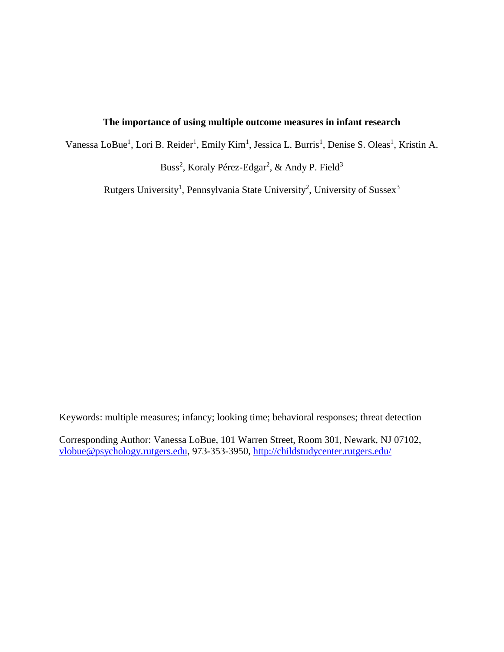## **The importance of using multiple outcome measures in infant research**

Vanessa LoBue<sup>1</sup>, Lori B. Reider<sup>1</sup>, Emily Kim<sup>1</sup>, Jessica L. Burris<sup>1</sup>, Denise S. Oleas<sup>1</sup>, Kristin A.

Buss<sup>2</sup>, Koraly Pérez-Edgar<sup>2</sup>, & Andy P. Field<sup>3</sup>

Rutgers University<sup>1</sup>, Pennsylvania State University<sup>2</sup>, University of Sussex<sup>3</sup>

Keywords: multiple measures; infancy; looking time; behavioral responses; threat detection

Corresponding Author: Vanessa LoBue, 101 Warren Street, Room 301, Newark, NJ 07102, [vlobue@psychology.rutgers.edu,](mailto:vlobue@psychology.rutgers.edu) 973-353-3950, [http://childstudycenter.rutgers.edu/](http://childstudycenter.rutgers.edu/Home.html)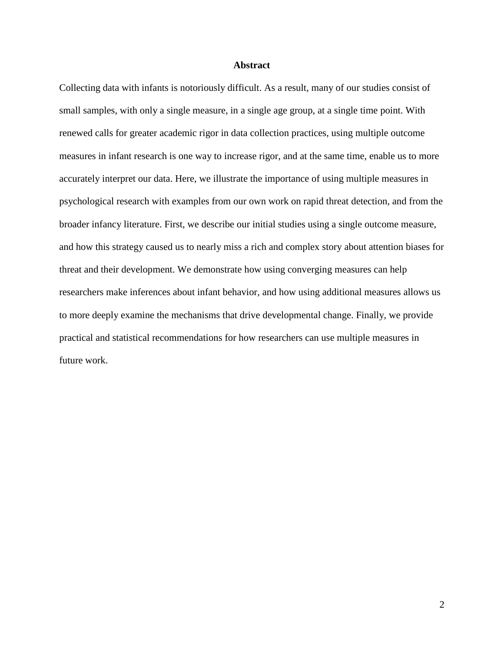#### **Abstract**

Collecting data with infants is notoriously difficult. As a result, many of our studies consist of small samples, with only a single measure, in a single age group, at a single time point. With renewed calls for greater academic rigor in data collection practices, using multiple outcome measures in infant research is one way to increase rigor, and at the same time, enable us to more accurately interpret our data. Here, we illustrate the importance of using multiple measures in psychological research with examples from our own work on rapid threat detection, and from the broader infancy literature. First, we describe our initial studies using a single outcome measure, and how this strategy caused us to nearly miss a rich and complex story about attention biases for threat and their development. We demonstrate how using converging measures can help researchers make inferences about infant behavior, and how using additional measures allows us to more deeply examine the mechanisms that drive developmental change. Finally, we provide practical and statistical recommendations for how researchers can use multiple measures in future work.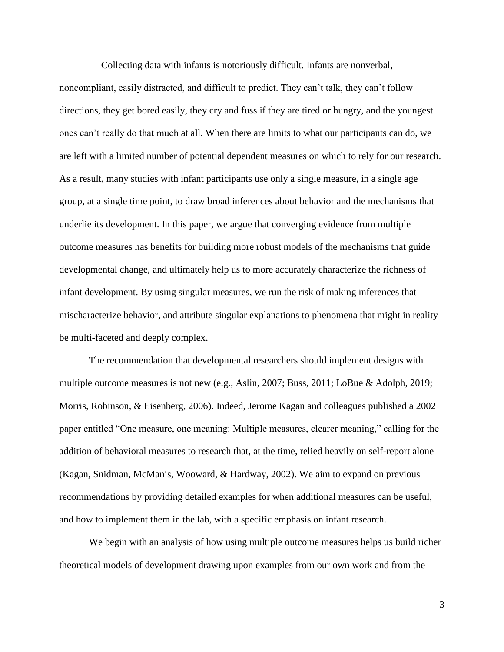Collecting data with infants is notoriously difficult. Infants are nonverbal,

noncompliant, easily distracted, and difficult to predict. They can't talk, they can't follow directions, they get bored easily, they cry and fuss if they are tired or hungry, and the youngest ones can't really do that much at all. When there are limits to what our participants can do, we are left with a limited number of potential dependent measures on which to rely for our research. As a result, many studies with infant participants use only a single measure, in a single age group, at a single time point, to draw broad inferences about behavior and the mechanisms that underlie its development. In this paper, we argue that converging evidence from multiple outcome measures has benefits for building more robust models of the mechanisms that guide developmental change, and ultimately help us to more accurately characterize the richness of infant development. By using singular measures, we run the risk of making inferences that mischaracterize behavior, and attribute singular explanations to phenomena that might in reality be multi-faceted and deeply complex.

The recommendation that developmental researchers should implement designs with multiple outcome measures is not new (e.g., Aslin, 2007; Buss, 2011; LoBue & Adolph, 2019; Morris, Robinson, & Eisenberg, 2006). Indeed, Jerome Kagan and colleagues published a 2002 paper entitled "One measure, one meaning: Multiple measures, clearer meaning," calling for the addition of behavioral measures to research that, at the time, relied heavily on self-report alone (Kagan, Snidman, McManis, Wooward, & Hardway, 2002). We aim to expand on previous recommendations by providing detailed examples for when additional measures can be useful, and how to implement them in the lab, with a specific emphasis on infant research.

We begin with an analysis of how using multiple outcome measures helps us build richer theoretical models of development drawing upon examples from our own work and from the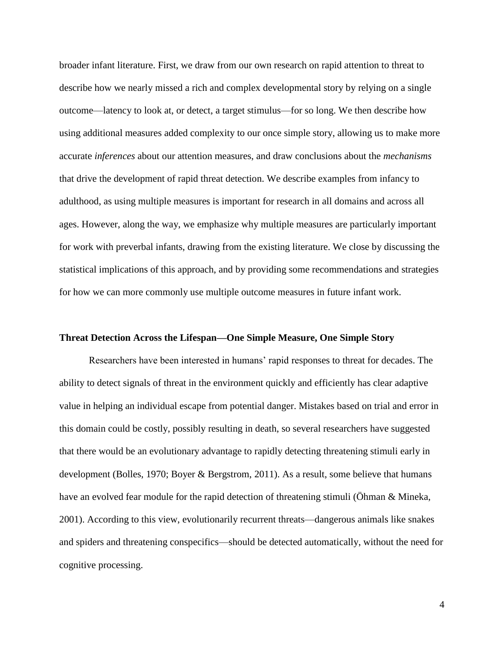broader infant literature. First, we draw from our own research on rapid attention to threat to describe how we nearly missed a rich and complex developmental story by relying on a single outcome—latency to look at, or detect, a target stimulus—for so long. We then describe how using additional measures added complexity to our once simple story, allowing us to make more accurate *inferences* about our attention measures, and draw conclusions about the *mechanisms* that drive the development of rapid threat detection. We describe examples from infancy to adulthood, as using multiple measures is important for research in all domains and across all ages. However, along the way, we emphasize why multiple measures are particularly important for work with preverbal infants, drawing from the existing literature. We close by discussing the statistical implications of this approach, and by providing some recommendations and strategies for how we can more commonly use multiple outcome measures in future infant work.

#### **Threat Detection Across the Lifespan—One Simple Measure, One Simple Story**

Researchers have been interested in humans' rapid responses to threat for decades. The ability to detect signals of threat in the environment quickly and efficiently has clear adaptive value in helping an individual escape from potential danger. Mistakes based on trial and error in this domain could be costly, possibly resulting in death, so several researchers have suggested that there would be an evolutionary advantage to rapidly detecting threatening stimuli early in development (Bolles, 1970; Boyer & Bergstrom, 2011). As a result, some believe that humans have an evolved fear module for the rapid detection of threatening stimuli (Öhman & Mineka, 2001). According to this view, evolutionarily recurrent threats—dangerous animals like snakes and spiders and threatening conspecifics—should be detected automatically, without the need for cognitive processing.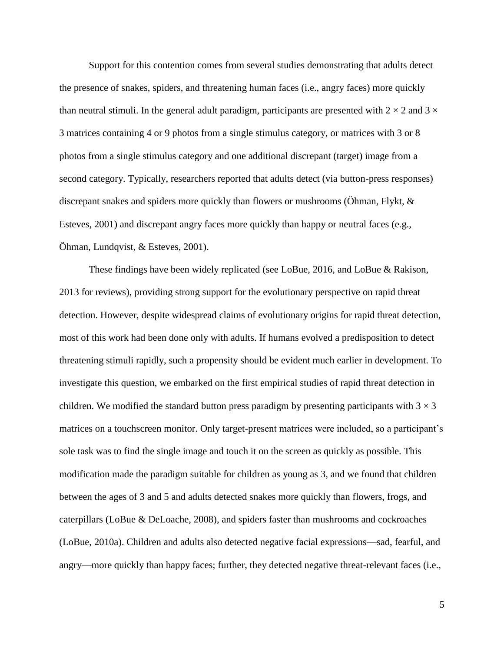Support for this contention comes from several studies demonstrating that adults detect the presence of snakes, spiders, and threatening human faces (i.e., angry faces) more quickly than neutral stimuli. In the general adult paradigm, participants are presented with  $2 \times 2$  and  $3 \times$ 3 matrices containing 4 or 9 photos from a single stimulus category, or matrices with 3 or 8 photos from a single stimulus category and one additional discrepant (target) image from a second category. Typically, researchers reported that adults detect (via button-press responses) discrepant snakes and spiders more quickly than flowers or mushrooms (Öhman, Flykt, & Esteves, 2001) and discrepant angry faces more quickly than happy or neutral faces (e.g., Öhman, Lundqvist, & Esteves, 2001).

These findings have been widely replicated (see LoBue, 2016, and LoBue & Rakison, 2013 for reviews), providing strong support for the evolutionary perspective on rapid threat detection. However, despite widespread claims of evolutionary origins for rapid threat detection, most of this work had been done only with adults. If humans evolved a predisposition to detect threatening stimuli rapidly, such a propensity should be evident much earlier in development. To investigate this question, we embarked on the first empirical studies of rapid threat detection in children. We modified the standard button press paradigm by presenting participants with  $3 \times 3$ matrices on a touchscreen monitor. Only target-present matrices were included, so a participant's sole task was to find the single image and touch it on the screen as quickly as possible. This modification made the paradigm suitable for children as young as 3, and we found that children between the ages of 3 and 5 and adults detected snakes more quickly than flowers, frogs, and caterpillars (LoBue & DeLoache, 2008), and spiders faster than mushrooms and cockroaches (LoBue, 2010a). Children and adults also detected negative facial expressions—sad, fearful, and angry—more quickly than happy faces; further, they detected negative threat-relevant faces (i.e.,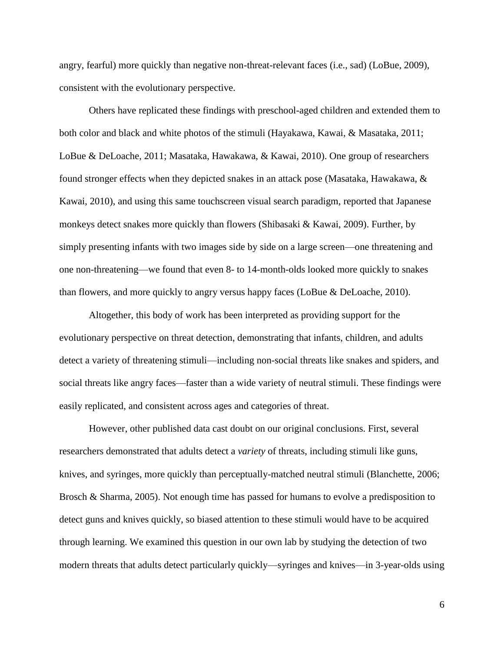angry, fearful) more quickly than negative non-threat-relevant faces (i.e., sad) (LoBue, 2009), consistent with the evolutionary perspective.

Others have replicated these findings with preschool-aged children and extended them to both color and black and white photos of the stimuli (Hayakawa, Kawai, & Masataka, 2011; LoBue & DeLoache, 2011; Masataka, Hawakawa, & Kawai, 2010). One group of researchers found stronger effects when they depicted snakes in an attack pose (Masataka, Hawakawa, & Kawai, 2010), and using this same touchscreen visual search paradigm, reported that Japanese monkeys detect snakes more quickly than flowers (Shibasaki & Kawai, 2009). Further, by simply presenting infants with two images side by side on a large screen—one threatening and one non-threatening—we found that even 8- to 14-month-olds looked more quickly to snakes than flowers, and more quickly to angry versus happy faces (LoBue & DeLoache, 2010).

Altogether, this body of work has been interpreted as providing support for the evolutionary perspective on threat detection, demonstrating that infants, children, and adults detect a variety of threatening stimuli—including non-social threats like snakes and spiders, and social threats like angry faces—faster than a wide variety of neutral stimuli. These findings were easily replicated, and consistent across ages and categories of threat.

However, other published data cast doubt on our original conclusions. First, several researchers demonstrated that adults detect a *variety* of threats, including stimuli like guns, knives, and syringes, more quickly than perceptually-matched neutral stimuli (Blanchette, 2006; Brosch & Sharma, 2005). Not enough time has passed for humans to evolve a predisposition to detect guns and knives quickly, so biased attention to these stimuli would have to be acquired through learning. We examined this question in our own lab by studying the detection of two modern threats that adults detect particularly quickly—syringes and knives—in 3-year-olds using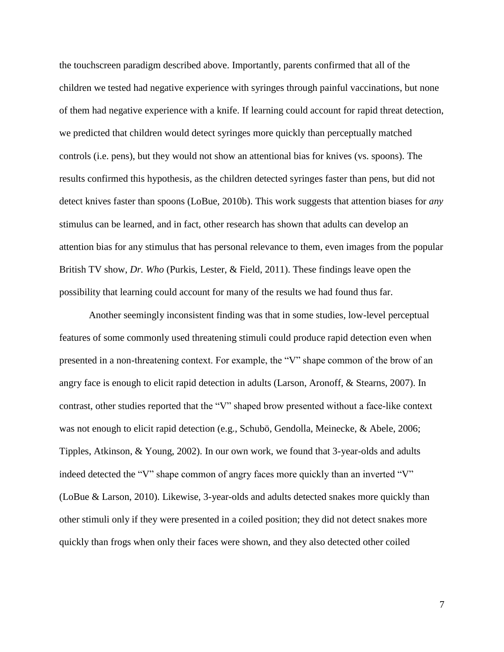the touchscreen paradigm described above. Importantly, parents confirmed that all of the children we tested had negative experience with syringes through painful vaccinations, but none of them had negative experience with a knife. If learning could account for rapid threat detection, we predicted that children would detect syringes more quickly than perceptually matched controls (i.e. pens), but they would not show an attentional bias for knives (vs. spoons). The results confirmed this hypothesis, as the children detected syringes faster than pens, but did not detect knives faster than spoons (LoBue, 2010b). This work suggests that attention biases for *any* stimulus can be learned, and in fact, other research has shown that adults can develop an attention bias for any stimulus that has personal relevance to them, even images from the popular British TV show, *Dr. Who* (Purkis, Lester, & Field, 2011). These findings leave open the possibility that learning could account for many of the results we had found thus far.

Another seemingly inconsistent finding was that in some studies, low-level perceptual features of some commonly used threatening stimuli could produce rapid detection even when presented in a non-threatening context. For example, the "V" shape common of the brow of an angry face is enough to elicit rapid detection in adults (Larson, Aronoff, & Stearns, 2007). In contrast, other studies reported that the "V" shaped brow presented without a face-like context was not enough to elicit rapid detection (e.g., Schubö, Gendolla, Meinecke, & Abele, 2006; Tipples, Atkinson, & Young, 2002). In our own work, we found that 3-year-olds and adults indeed detected the "V" shape common of angry faces more quickly than an inverted "V" (LoBue & Larson, 2010). Likewise, 3-year-olds and adults detected snakes more quickly than other stimuli only if they were presented in a coiled position; they did not detect snakes more quickly than frogs when only their faces were shown, and they also detected other coiled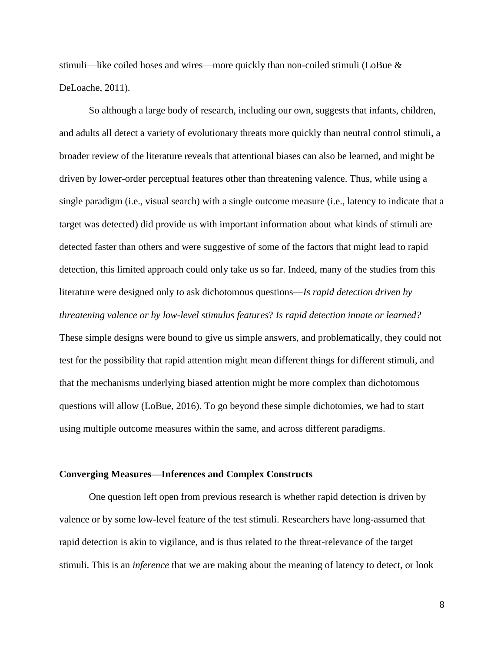stimuli—like coiled hoses and wires—more quickly than non-coiled stimuli (LoBue  $\&$ DeLoache, 2011).

So although a large body of research, including our own, suggests that infants, children, and adults all detect a variety of evolutionary threats more quickly than neutral control stimuli, a broader review of the literature reveals that attentional biases can also be learned, and might be driven by lower-order perceptual features other than threatening valence. Thus, while using a single paradigm (i.e., visual search) with a single outcome measure (i.e., latency to indicate that a target was detected) did provide us with important information about what kinds of stimuli are detected faster than others and were suggestive of some of the factors that might lead to rapid detection, this limited approach could only take us so far. Indeed, many of the studies from this literature were designed only to ask dichotomous questions—*Is rapid detection driven by threatening valence or by low-level stimulus features*? *Is rapid detection innate or learned?* These simple designs were bound to give us simple answers, and problematically, they could not test for the possibility that rapid attention might mean different things for different stimuli, and that the mechanisms underlying biased attention might be more complex than dichotomous questions will allow (LoBue, 2016). To go beyond these simple dichotomies, we had to start using multiple outcome measures within the same, and across different paradigms.

#### **Converging Measures—Inferences and Complex Constructs**

One question left open from previous research is whether rapid detection is driven by valence or by some low-level feature of the test stimuli. Researchers have long-assumed that rapid detection is akin to vigilance, and is thus related to the threat-relevance of the target stimuli. This is an *inference* that we are making about the meaning of latency to detect, or look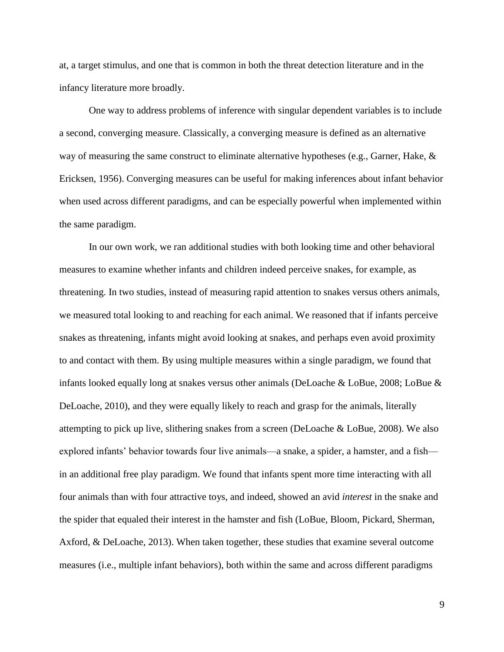at, a target stimulus, and one that is common in both the threat detection literature and in the infancy literature more broadly.

One way to address problems of inference with singular dependent variables is to include a second, converging measure. Classically, a converging measure is defined as an alternative way of measuring the same construct to eliminate alternative hypotheses (e.g., Garner, Hake,  $\&$ Ericksen, 1956). Converging measures can be useful for making inferences about infant behavior when used across different paradigms, and can be especially powerful when implemented within the same paradigm.

In our own work, we ran additional studies with both looking time and other behavioral measures to examine whether infants and children indeed perceive snakes, for example, as threatening. In two studies, instead of measuring rapid attention to snakes versus others animals, we measured total looking to and reaching for each animal. We reasoned that if infants perceive snakes as threatening, infants might avoid looking at snakes, and perhaps even avoid proximity to and contact with them. By using multiple measures within a single paradigm, we found that infants looked equally long at snakes versus other animals (DeLoache & LoBue, 2008; LoBue & DeLoache, 2010), and they were equally likely to reach and grasp for the animals, literally attempting to pick up live, slithering snakes from a screen (DeLoache & LoBue, 2008). We also explored infants' behavior towards four live animals—a snake, a spider, a hamster, and a fish in an additional free play paradigm. We found that infants spent more time interacting with all four animals than with four attractive toys, and indeed, showed an avid *interest* in the snake and the spider that equaled their interest in the hamster and fish (LoBue, Bloom, Pickard, Sherman, Axford, & DeLoache, 2013). When taken together, these studies that examine several outcome measures (i.e., multiple infant behaviors), both within the same and across different paradigms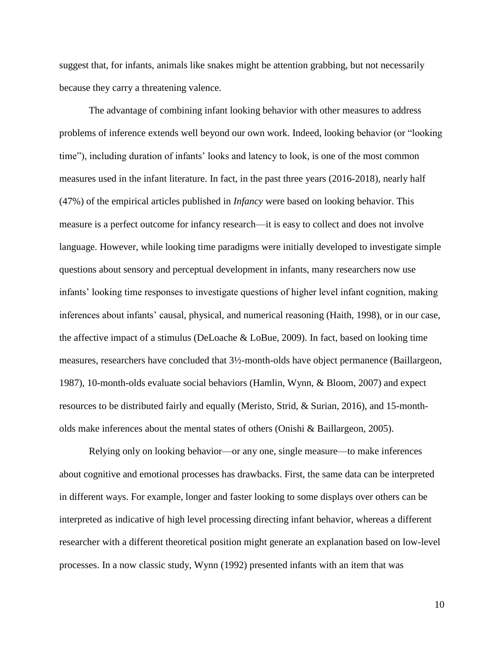suggest that, for infants, animals like snakes might be attention grabbing, but not necessarily because they carry a threatening valence.

The advantage of combining infant looking behavior with other measures to address problems of inference extends well beyond our own work. Indeed, looking behavior (or "looking time"), including duration of infants' looks and latency to look, is one of the most common measures used in the infant literature. In fact, in the past three years (2016-2018), nearly half (47%) of the empirical articles published in *Infancy* were based on looking behavior. This measure is a perfect outcome for infancy research—it is easy to collect and does not involve language. However, while looking time paradigms were initially developed to investigate simple questions about sensory and perceptual development in infants, many researchers now use infants' looking time responses to investigate questions of higher level infant cognition, making inferences about infants' causal, physical, and numerical reasoning (Haith, 1998), or in our case, the affective impact of a stimulus (DeLoache & LoBue, 2009). In fact, based on looking time measures, researchers have concluded that 3½-month-olds have object permanence (Baillargeon, 1987), 10-month-olds evaluate social behaviors (Hamlin, Wynn, & Bloom, 2007) and expect resources to be distributed fairly and equally (Meristo, Strid, & Surian, 2016), and 15-montholds make inferences about the mental states of others (Onishi & Baillargeon, 2005).

Relying only on looking behavior—or any one, single measure—to make inferences about cognitive and emotional processes has drawbacks. First, the same data can be interpreted in different ways. For example, longer and faster looking to some displays over others can be interpreted as indicative of high level processing directing infant behavior, whereas a different researcher with a different theoretical position might generate an explanation based on low-level processes. In a now classic study, Wynn (1992) presented infants with an item that was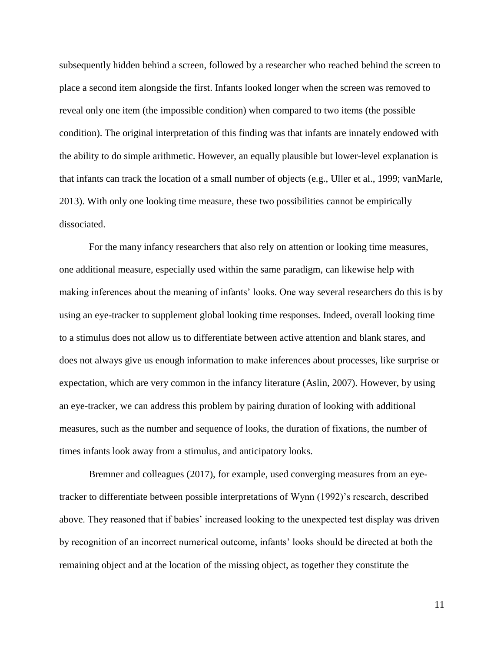subsequently hidden behind a screen, followed by a researcher who reached behind the screen to place a second item alongside the first. Infants looked longer when the screen was removed to reveal only one item (the impossible condition) when compared to two items (the possible condition). The original interpretation of this finding was that infants are innately endowed with the ability to do simple arithmetic. However, an equally plausible but lower-level explanation is that infants can track the location of a small number of objects (e.g., Uller et al., 1999; vanMarle, 2013). With only one looking time measure, these two possibilities cannot be empirically dissociated.

For the many infancy researchers that also rely on attention or looking time measures, one additional measure, especially used within the same paradigm, can likewise help with making inferences about the meaning of infants' looks. One way several researchers do this is by using an eye-tracker to supplement global looking time responses. Indeed, overall looking time to a stimulus does not allow us to differentiate between active attention and blank stares, and does not always give us enough information to make inferences about processes, like surprise or expectation, which are very common in the infancy literature (Aslin, 2007). However, by using an eye-tracker, we can address this problem by pairing duration of looking with additional measures, such as the number and sequence of looks, the duration of fixations, the number of times infants look away from a stimulus, and anticipatory looks.

Bremner and colleagues (2017), for example, used converging measures from an eyetracker to differentiate between possible interpretations of Wynn (1992)'s research, described above. They reasoned that if babies' increased looking to the unexpected test display was driven by recognition of an incorrect numerical outcome, infants' looks should be directed at both the remaining object and at the location of the missing object, as together they constitute the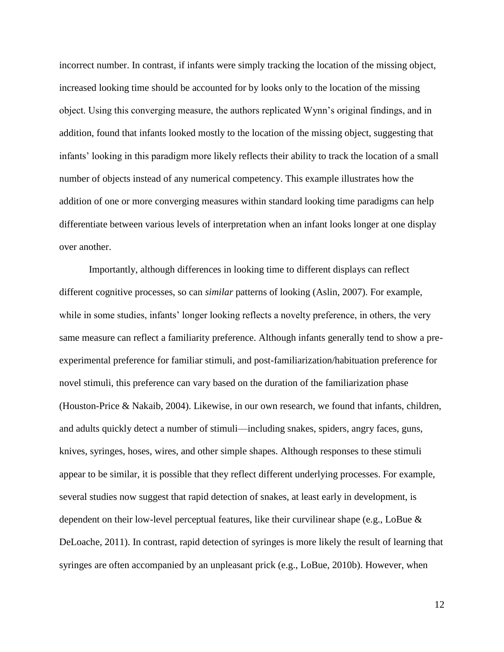incorrect number. In contrast, if infants were simply tracking the location of the missing object, increased looking time should be accounted for by looks only to the location of the missing object. Using this converging measure, the authors replicated Wynn's original findings, and in addition, found that infants looked mostly to the location of the missing object, suggesting that infants' looking in this paradigm more likely reflects their ability to track the location of a small number of objects instead of any numerical competency. This example illustrates how the addition of one or more converging measures within standard looking time paradigms can help differentiate between various levels of interpretation when an infant looks longer at one display over another.

Importantly, although differences in looking time to different displays can reflect different cognitive processes, so can *similar* patterns of looking (Aslin, 2007). For example, while in some studies, infants' longer looking reflects a novelty preference, in others, the very same measure can reflect a familiarity preference. Although infants generally tend to show a preexperimental preference for familiar stimuli, and post-familiarization/habituation preference for novel stimuli, this preference can vary based on the duration of the familiarization phase (Houston-Price & Nakaib, 2004). Likewise, in our own research, we found that infants, children, and adults quickly detect a number of stimuli—including snakes, spiders, angry faces, guns, knives, syringes, hoses, wires, and other simple shapes. Although responses to these stimuli appear to be similar, it is possible that they reflect different underlying processes. For example, several studies now suggest that rapid detection of snakes, at least early in development, is dependent on their low-level perceptual features, like their curvilinear shape (e.g., LoBue & DeLoache, 2011). In contrast, rapid detection of syringes is more likely the result of learning that syringes are often accompanied by an unpleasant prick (e.g., LoBue, 2010b). However, when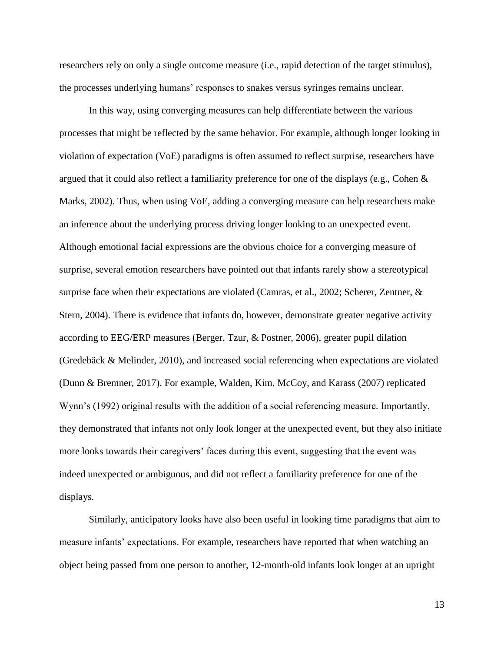researchers rely on only a single outcome measure (i.e., rapid detection of the target stimulus), the processes underlying humans' responses to snakes versus syringes remains unclear.

In this way, using converging measures can help differentiate between the various processes that might be reflected by the same behavior. For example, although longer looking in violation of expectation (VoE) paradigms is often assumed to reflect surprise, researchers have argued that it could also reflect a familiarity preference for one of the displays (e.g., Cohen & Marks, 2002). Thus, when using VoE, adding a converging measure can help researchers make an inference about the underlying process driving longer looking to an unexpected event. Although emotional facial expressions are the obvious choice for a converging measure of surprise, several emotion researchers have pointed out that infants rarely show a stereotypical surprise face when their expectations are violated (Camras, et al., 2002; Scherer, Zentner, & Stern, 2004). There is evidence that infants do, however, demonstrate greater negative activity according to EEG/ERP measures (Berger, Tzur, & Postner, 2006), greater pupil dilation (Gredebäck & Melinder, 2010), and increased social referencing when expectations are violated (Dunn & Bremner, 2017). For example, Walden, Kim, McCoy, and Karass (2007) replicated Wynn's (1992) original results with the addition of a social referencing measure. Importantly, they demonstrated that infants not only look longer at the unexpected event, but they also initiate more looks towards their caregivers' faces during this event, suggesting that the event was indeed unexpected or ambiguous, and did not reflect a familiarity preference for one of the displays.

Similarly, anticipatory looks have also been useful in looking time paradigms that aim to measure infants' expectations. For example, researchers have reported that when watching an object being passed from one person to another, 12-month-old infants look longer at an upright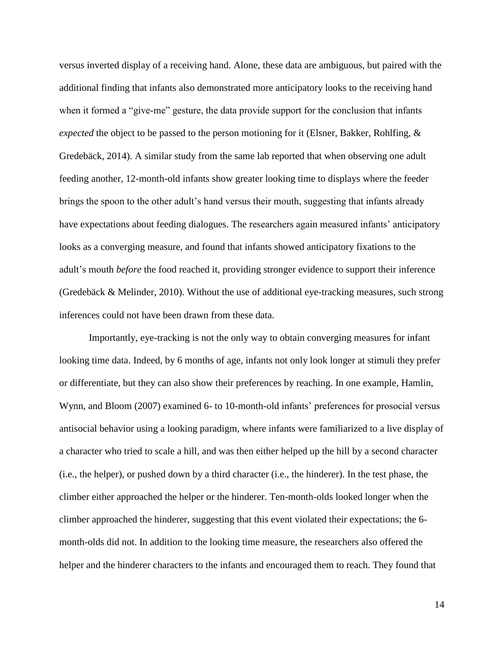versus inverted display of a receiving hand. Alone, these data are ambiguous, but paired with the additional finding that infants also demonstrated more anticipatory looks to the receiving hand when it formed a "give-me" gesture, the data provide support for the conclusion that infants *expected* the object to be passed to the person motioning for it (Elsner, Bakker, Rohlfing, & Gredebäck, 2014). A similar study from the same lab reported that when observing one adult feeding another, 12-month-old infants show greater looking time to displays where the feeder brings the spoon to the other adult's hand versus their mouth, suggesting that infants already have expectations about feeding dialogues. The researchers again measured infants' anticipatory looks as a converging measure, and found that infants showed anticipatory fixations to the adult's mouth *before* the food reached it, providing stronger evidence to support their inference (Gredebäck & Melinder, 2010). Without the use of additional eye-tracking measures, such strong inferences could not have been drawn from these data.

Importantly, eye-tracking is not the only way to obtain converging measures for infant looking time data. Indeed, by 6 months of age, infants not only look longer at stimuli they prefer or differentiate, but they can also show their preferences by reaching. In one example, Hamlin, Wynn, and Bloom (2007) examined 6- to 10-month-old infants' preferences for prosocial versus antisocial behavior using a looking paradigm, where infants were familiarized to a live display of a character who tried to scale a hill, and was then either helped up the hill by a second character (i.e., the helper), or pushed down by a third character (i.e., the hinderer). In the test phase, the climber either approached the helper or the hinderer. Ten-month-olds looked longer when the climber approached the hinderer, suggesting that this event violated their expectations; the 6 month-olds did not. In addition to the looking time measure, the researchers also offered the helper and the hinderer characters to the infants and encouraged them to reach. They found that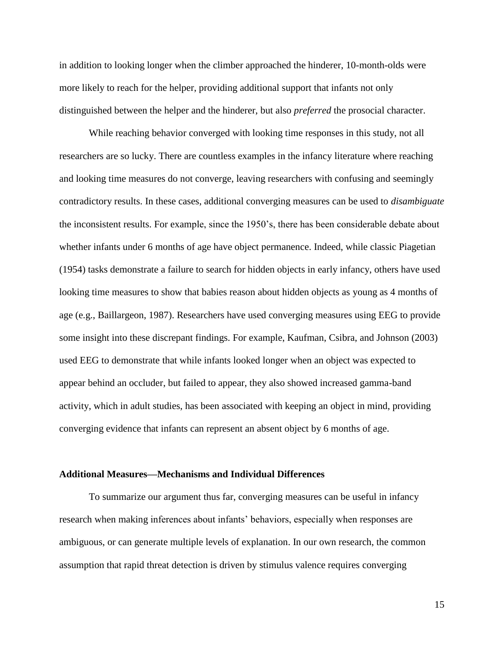in addition to looking longer when the climber approached the hinderer, 10-month-olds were more likely to reach for the helper, providing additional support that infants not only distinguished between the helper and the hinderer, but also *preferred* the prosocial character.

While reaching behavior converged with looking time responses in this study, not all researchers are so lucky. There are countless examples in the infancy literature where reaching and looking time measures do not converge, leaving researchers with confusing and seemingly contradictory results. In these cases, additional converging measures can be used to *disambiguate* the inconsistent results. For example, since the 1950's, there has been considerable debate about whether infants under 6 months of age have object permanence. Indeed, while classic Piagetian (1954) tasks demonstrate a failure to search for hidden objects in early infancy, others have used looking time measures to show that babies reason about hidden objects as young as 4 months of age (e.g., Baillargeon, 1987). Researchers have used converging measures using EEG to provide some insight into these discrepant findings. For example, Kaufman, Csibra, and Johnson (2003) used EEG to demonstrate that while infants looked longer when an object was expected to appear behind an occluder, but failed to appear, they also showed increased gamma-band activity, which in adult studies, has been associated with keeping an object in mind, providing converging evidence that infants can represent an absent object by 6 months of age.

#### **Additional Measures—Mechanisms and Individual Differences**

To summarize our argument thus far, converging measures can be useful in infancy research when making inferences about infants' behaviors, especially when responses are ambiguous, or can generate multiple levels of explanation. In our own research, the common assumption that rapid threat detection is driven by stimulus valence requires converging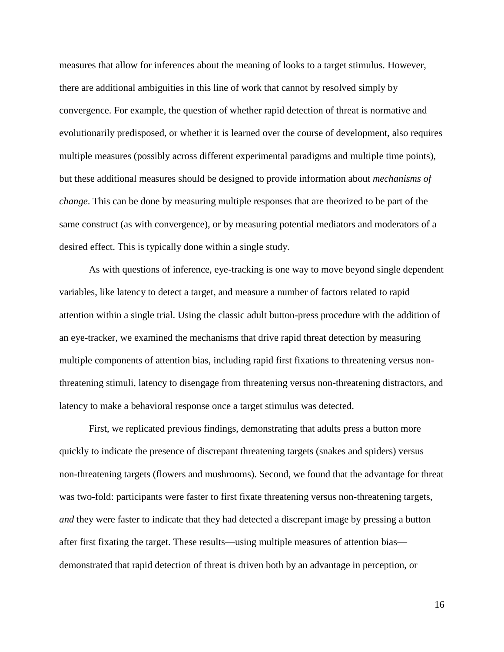measures that allow for inferences about the meaning of looks to a target stimulus. However, there are additional ambiguities in this line of work that cannot by resolved simply by convergence. For example, the question of whether rapid detection of threat is normative and evolutionarily predisposed, or whether it is learned over the course of development, also requires multiple measures (possibly across different experimental paradigms and multiple time points), but these additional measures should be designed to provide information about *mechanisms of change*. This can be done by measuring multiple responses that are theorized to be part of the same construct (as with convergence), or by measuring potential mediators and moderators of a desired effect. This is typically done within a single study.

As with questions of inference, eye-tracking is one way to move beyond single dependent variables, like latency to detect a target, and measure a number of factors related to rapid attention within a single trial. Using the classic adult button-press procedure with the addition of an eye-tracker, we examined the mechanisms that drive rapid threat detection by measuring multiple components of attention bias, including rapid first fixations to threatening versus nonthreatening stimuli, latency to disengage from threatening versus non-threatening distractors, and latency to make a behavioral response once a target stimulus was detected.

First, we replicated previous findings, demonstrating that adults press a button more quickly to indicate the presence of discrepant threatening targets (snakes and spiders) versus non-threatening targets (flowers and mushrooms). Second, we found that the advantage for threat was two-fold: participants were faster to first fixate threatening versus non-threatening targets, *and* they were faster to indicate that they had detected a discrepant image by pressing a button after first fixating the target. These results—using multiple measures of attention bias demonstrated that rapid detection of threat is driven both by an advantage in perception, or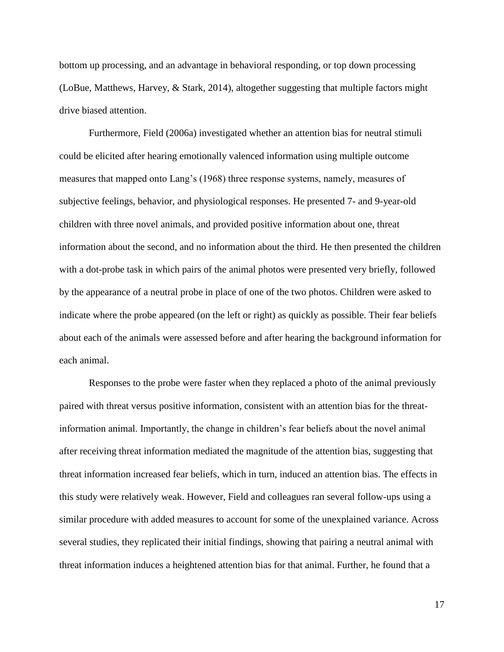bottom up processing, and an advantage in behavioral responding, or top down processing (LoBue, Matthews, Harvey, & Stark, 2014), altogether suggesting that multiple factors might drive biased attention.

Furthermore, Field (2006a) investigated whether an attention bias for neutral stimuli could be elicited after hearing emotionally valenced information using multiple outcome measures that mapped onto Lang's (1968) three response systems, namely, measures of subjective feelings, behavior, and physiological responses. He presented 7- and 9-year-old children with three novel animals, and provided positive information about one, threat information about the second, and no information about the third. He then presented the children with a dot-probe task in which pairs of the animal photos were presented very briefly, followed by the appearance of a neutral probe in place of one of the two photos. Children were asked to indicate where the probe appeared (on the left or right) as quickly as possible. Their fear beliefs about each of the animals were assessed before and after hearing the background information for each animal.

Responses to the probe were faster when they replaced a photo of the animal previously paired with threat versus positive information, consistent with an attention bias for the threatinformation animal. Importantly, the change in children's fear beliefs about the novel animal after receiving threat information mediated the magnitude of the attention bias, suggesting that threat information increased fear beliefs, which in turn, induced an attention bias. The effects in this study were relatively weak. However, Field and colleagues ran several follow-ups using a similar procedure with added measures to account for some of the unexplained variance. Across several studies, they replicated their initial findings, showing that pairing a neutral animal with threat information induces a heightened attention bias for that animal. Further, he found that a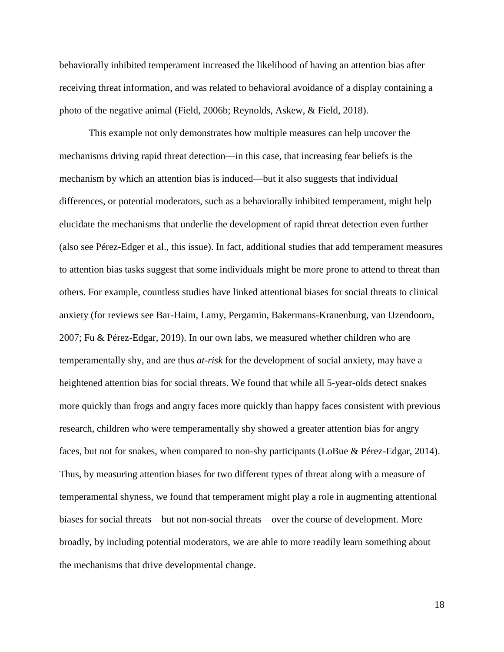behaviorally inhibited temperament increased the likelihood of having an attention bias after receiving threat information, and was related to behavioral avoidance of a display containing a photo of the negative animal (Field, 2006b; Reynolds, Askew, & Field, 2018).

This example not only demonstrates how multiple measures can help uncover the mechanisms driving rapid threat detection—in this case, that increasing fear beliefs is the mechanism by which an attention bias is induced—but it also suggests that individual differences, or potential moderators, such as a behaviorally inhibited temperament, might help elucidate the mechanisms that underlie the development of rapid threat detection even further (also see Pérez-Edger et al., this issue). In fact, additional studies that add temperament measures to attention bias tasks suggest that some individuals might be more prone to attend to threat than others. For example, countless studies have linked attentional biases for social threats to clinical anxiety (for reviews see Bar-Haim, Lamy, Pergamin, Bakermans-Kranenburg, van IJzendoorn, 2007; Fu & Pérez-Edgar, 2019). In our own labs, we measured whether children who are temperamentally shy, and are thus *at-risk* for the development of social anxiety, may have a heightened attention bias for social threats. We found that while all 5-year-olds detect snakes more quickly than frogs and angry faces more quickly than happy faces consistent with previous research, children who were temperamentally shy showed a greater attention bias for angry faces, but not for snakes, when compared to non-shy participants (LoBue & Pérez-Edgar, 2014). Thus, by measuring attention biases for two different types of threat along with a measure of temperamental shyness, we found that temperament might play a role in augmenting attentional biases for social threats—but not non-social threats—over the course of development. More broadly, by including potential moderators, we are able to more readily learn something about the mechanisms that drive developmental change.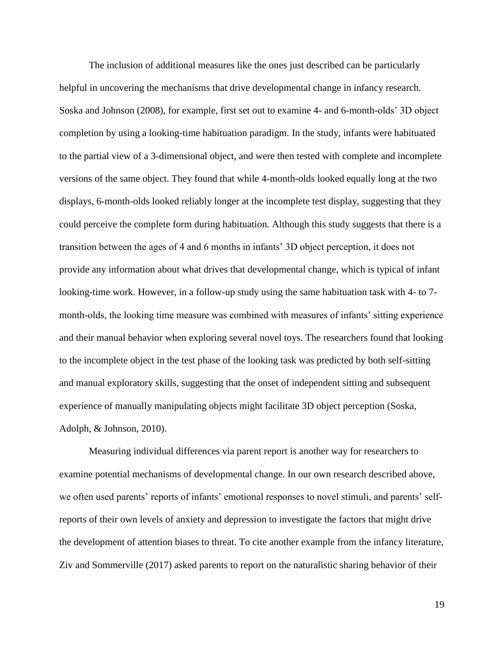The inclusion of additional measures like the ones just described can be particularly helpful in uncovering the mechanisms that drive developmental change in infancy research. Soska and Johnson (2008), for example, first set out to examine 4- and 6-month-olds' 3D object completion by using a looking-time habituation paradigm. In the study, infants were habituated to the partial view of a 3-dimensional object, and were then tested with complete and incomplete versions of the same object. They found that while 4-month-olds looked equally long at the two displays, 6-month-olds looked reliably longer at the incomplete test display, suggesting that they could perceive the complete form during habituation. Although this study suggests that there is a transition between the ages of 4 and 6 months in infants' 3D object perception, it does not provide any information about what drives that developmental change, which is typical of infant looking-time work. However, in a follow-up study using the same habituation task with 4- to 7 month-olds, the looking time measure was combined with measures of infants' sitting experience and their manual behavior when exploring several novel toys. The researchers found that looking to the incomplete object in the test phase of the looking task was predicted by both self-sitting and manual exploratory skills, suggesting that the onset of independent sitting and subsequent experience of manually manipulating objects might facilitate 3D object perception (Soska, Adolph, & Johnson, 2010).

Measuring individual differences via parent report is another way for researchers to examine potential mechanisms of developmental change. In our own research described above, we often used parents' reports of infants' emotional responses to novel stimuli, and parents' selfreports of their own levels of anxiety and depression to investigate the factors that might drive the development of attention biases to threat. To cite another example from the infancy literature, Ziv and Sommerville (2017) asked parents to report on the naturalistic sharing behavior of their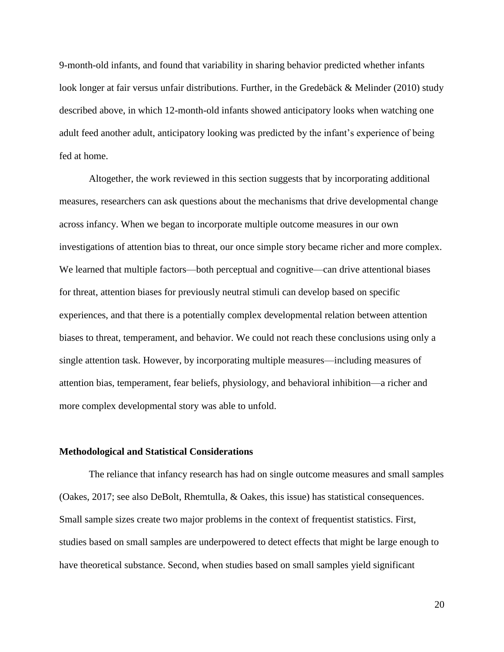9-month-old infants, and found that variability in sharing behavior predicted whether infants look longer at fair versus unfair distributions. Further, in the Gredebäck & Melinder (2010) study described above, in which 12-month-old infants showed anticipatory looks when watching one adult feed another adult, anticipatory looking was predicted by the infant's experience of being fed at home.

Altogether, the work reviewed in this section suggests that by incorporating additional measures, researchers can ask questions about the mechanisms that drive developmental change across infancy. When we began to incorporate multiple outcome measures in our own investigations of attention bias to threat, our once simple story became richer and more complex. We learned that multiple factors—both perceptual and cognitive—can drive attentional biases for threat, attention biases for previously neutral stimuli can develop based on specific experiences, and that there is a potentially complex developmental relation between attention biases to threat, temperament, and behavior. We could not reach these conclusions using only a single attention task. However, by incorporating multiple measures—including measures of attention bias, temperament, fear beliefs, physiology, and behavioral inhibition—a richer and more complex developmental story was able to unfold.

#### **Methodological and Statistical Considerations**

The reliance that infancy research has had on single outcome measures and small samples (Oakes, 2017; see also DeBolt, Rhemtulla, & Oakes, this issue) has statistical consequences. Small sample sizes create two major problems in the context of frequentist statistics. First, studies based on small samples are underpowered to detect effects that might be large enough to have theoretical substance. Second, when studies based on small samples yield significant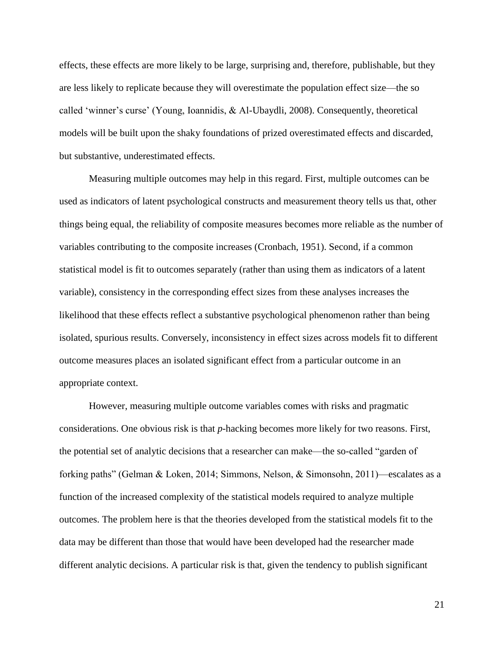effects, these effects are more likely to be large, surprising and, therefore, publishable, but they are less likely to replicate because they will overestimate the population effect size—the so called 'winner's curse' (Young, Ioannidis, & Al-Ubaydli, 2008). Consequently, theoretical models will be built upon the shaky foundations of prized overestimated effects and discarded, but substantive, underestimated effects.

Measuring multiple outcomes may help in this regard. First, multiple outcomes can be used as indicators of latent psychological constructs and measurement theory tells us that, other things being equal, the reliability of composite measures becomes more reliable as the number of variables contributing to the composite increases (Cronbach, 1951). Second, if a common statistical model is fit to outcomes separately (rather than using them as indicators of a latent variable), consistency in the corresponding effect sizes from these analyses increases the likelihood that these effects reflect a substantive psychological phenomenon rather than being isolated, spurious results. Conversely, inconsistency in effect sizes across models fit to different outcome measures places an isolated significant effect from a particular outcome in an appropriate context.

However, measuring multiple outcome variables comes with risks and pragmatic considerations. One obvious risk is that *p*-hacking becomes more likely for two reasons. First, the potential set of analytic decisions that a researcher can make—the so-called "garden of forking paths" (Gelman & Loken, 2014; Simmons, Nelson, & Simonsohn, 2011)—escalates as a function of the increased complexity of the statistical models required to analyze multiple outcomes. The problem here is that the theories developed from the statistical models fit to the data may be different than those that would have been developed had the researcher made different analytic decisions. A particular risk is that, given the tendency to publish significant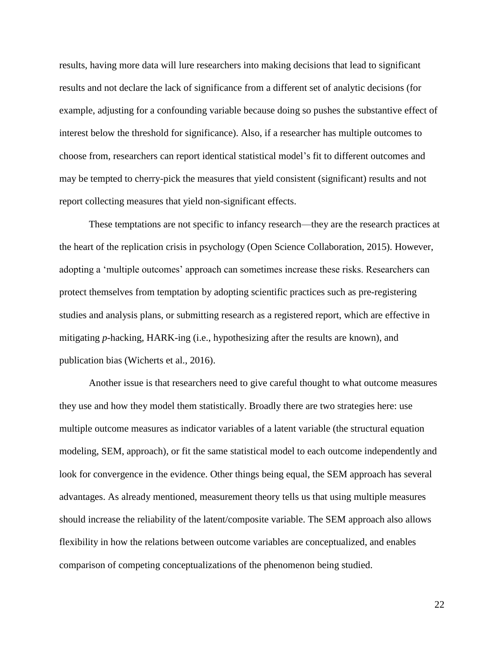results, having more data will lure researchers into making decisions that lead to significant results and not declare the lack of significance from a different set of analytic decisions (for example, adjusting for a confounding variable because doing so pushes the substantive effect of interest below the threshold for significance). Also, if a researcher has multiple outcomes to choose from, researchers can report identical statistical model's fit to different outcomes and may be tempted to cherry-pick the measures that yield consistent (significant) results and not report collecting measures that yield non-significant effects.

These temptations are not specific to infancy research—they are the research practices at the heart of the replication crisis in psychology (Open Science Collaboration, 2015). However, adopting a 'multiple outcomes' approach can sometimes increase these risks. Researchers can protect themselves from temptation by adopting scientific practices such as pre-registering studies and analysis plans, or submitting research as a registered report, which are effective in mitigating *p*-hacking, HARK-ing (i.e., hypothesizing after the results are known), and publication bias (Wicherts et al., 2016).

Another issue is that researchers need to give careful thought to what outcome measures they use and how they model them statistically. Broadly there are two strategies here: use multiple outcome measures as indicator variables of a latent variable (the structural equation modeling, SEM, approach), or fit the same statistical model to each outcome independently and look for convergence in the evidence. Other things being equal, the SEM approach has several advantages. As already mentioned, measurement theory tells us that using multiple measures should increase the reliability of the latent/composite variable. The SEM approach also allows flexibility in how the relations between outcome variables are conceptualized, and enables comparison of competing conceptualizations of the phenomenon being studied.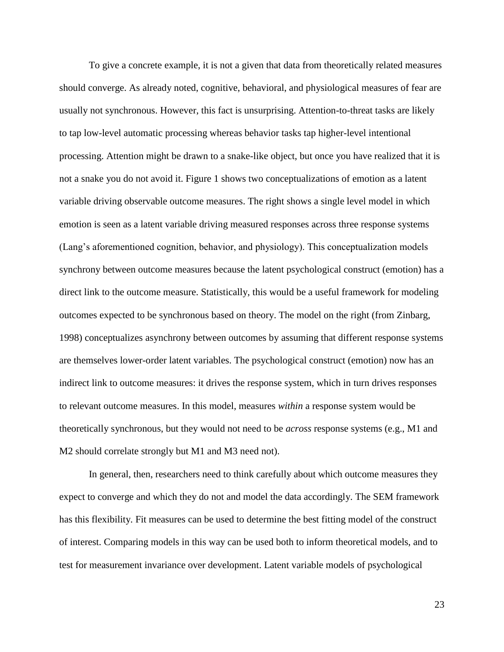To give a concrete example, it is not a given that data from theoretically related measures should converge. As already noted, cognitive, behavioral, and physiological measures of fear are usually not synchronous. However, this fact is unsurprising. Attention-to-threat tasks are likely to tap low-level automatic processing whereas behavior tasks tap higher-level intentional processing. Attention might be drawn to a snake-like object, but once you have realized that it is not a snake you do not avoid it. Figure 1 shows two conceptualizations of emotion as a latent variable driving observable outcome measures. The right shows a single level model in which emotion is seen as a latent variable driving measured responses across three response systems (Lang's aforementioned cognition, behavior, and physiology). This conceptualization models synchrony between outcome measures because the latent psychological construct (emotion) has a direct link to the outcome measure. Statistically, this would be a useful framework for modeling outcomes expected to be synchronous based on theory. The model on the right (from Zinbarg, 1998) conceptualizes asynchrony between outcomes by assuming that different response systems are themselves lower-order latent variables. The psychological construct (emotion) now has an indirect link to outcome measures: it drives the response system, which in turn drives responses to relevant outcome measures. In this model, measures *within* a response system would be theoretically synchronous, but they would not need to be *across* response systems (e.g., M1 and M2 should correlate strongly but M1 and M3 need not).

In general, then, researchers need to think carefully about which outcome measures they expect to converge and which they do not and model the data accordingly. The SEM framework has this flexibility. Fit measures can be used to determine the best fitting model of the construct of interest. Comparing models in this way can be used both to inform theoretical models, and to test for measurement invariance over development. Latent variable models of psychological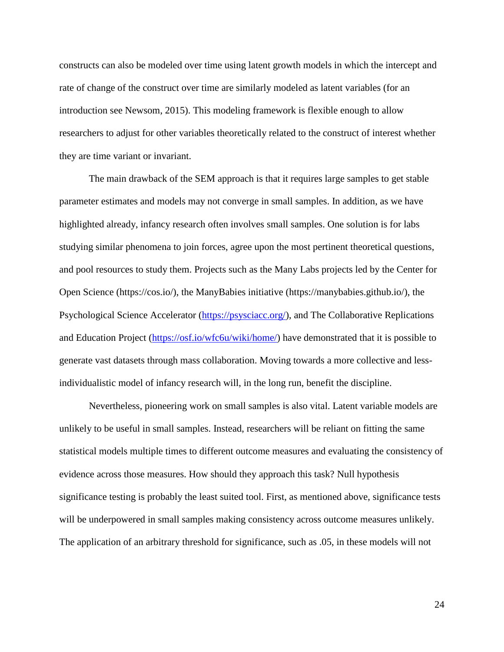constructs can also be modeled over time using latent growth models in which the intercept and rate of change of the construct over time are similarly modeled as latent variables (for an introduction see Newsom, 2015). This modeling framework is flexible enough to allow researchers to adjust for other variables theoretically related to the construct of interest whether they are time variant or invariant.

The main drawback of the SEM approach is that it requires large samples to get stable parameter estimates and models may not converge in small samples. In addition, as we have highlighted already, infancy research often involves small samples. One solution is for labs studying similar phenomena to join forces, agree upon the most pertinent theoretical questions, and pool resources to study them. Projects such as the Many Labs projects led by the Center for Open Science (https://cos.io/), the ManyBabies initiative [\(https://manybabies.github.io/\)](https://manybabies.github.io/), the Psychological Science Accelerator [\(https://psysciacc.org/\)](https://psysciacc.org/), and The Collaborative Replications and Education Project [\(https://osf.io/wfc6u/wiki/home/\)](https://osf.io/wfc6u/wiki/home/) have demonstrated that it is possible to generate vast datasets through mass collaboration. Moving towards a more collective and lessindividualistic model of infancy research will, in the long run, benefit the discipline.

Nevertheless, pioneering work on small samples is also vital. Latent variable models are unlikely to be useful in small samples. Instead, researchers will be reliant on fitting the same statistical models multiple times to different outcome measures and evaluating the consistency of evidence across those measures. How should they approach this task? Null hypothesis significance testing is probably the least suited tool. First, as mentioned above, significance tests will be underpowered in small samples making consistency across outcome measures unlikely. The application of an arbitrary threshold for significance, such as .05, in these models will not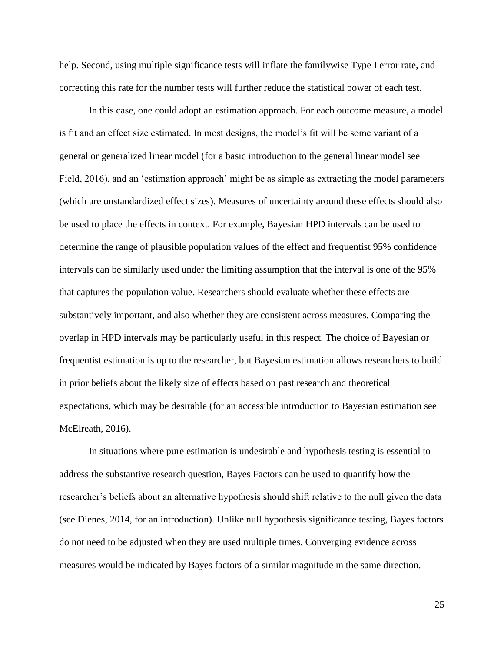help. Second, using multiple significance tests will inflate the familywise Type I error rate, and correcting this rate for the number tests will further reduce the statistical power of each test.

In this case, one could adopt an estimation approach. For each outcome measure, a model is fit and an effect size estimated. In most designs, the model's fit will be some variant of a general or generalized linear model (for a basic introduction to the general linear model see Field, 2016), and an 'estimation approach' might be as simple as extracting the model parameters (which are unstandardized effect sizes). Measures of uncertainty around these effects should also be used to place the effects in context. For example, Bayesian HPD intervals can be used to determine the range of plausible population values of the effect and frequentist 95% confidence intervals can be similarly used under the limiting assumption that the interval is one of the 95% that captures the population value. Researchers should evaluate whether these effects are substantively important, and also whether they are consistent across measures. Comparing the overlap in HPD intervals may be particularly useful in this respect. The choice of Bayesian or frequentist estimation is up to the researcher, but Bayesian estimation allows researchers to build in prior beliefs about the likely size of effects based on past research and theoretical expectations, which may be desirable (for an accessible introduction to Bayesian estimation see McElreath, 2016).

In situations where pure estimation is undesirable and hypothesis testing is essential to address the substantive research question, Bayes Factors can be used to quantify how the researcher's beliefs about an alternative hypothesis should shift relative to the null given the data (see Dienes, 2014, for an introduction). Unlike null hypothesis significance testing, Bayes factors do not need to be adjusted when they are used multiple times. Converging evidence across measures would be indicated by Bayes factors of a similar magnitude in the same direction.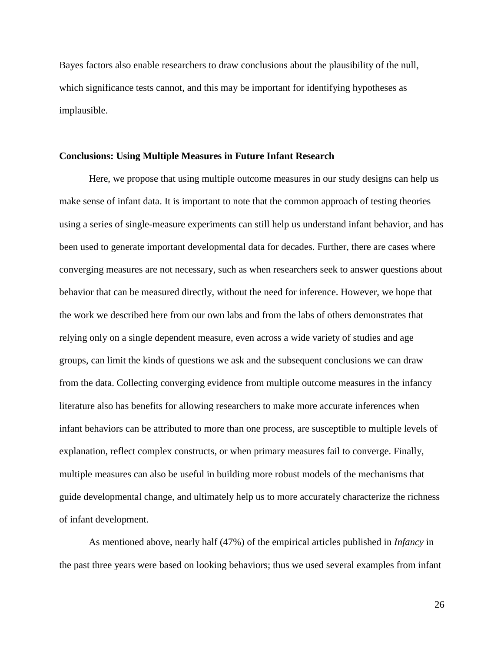Bayes factors also enable researchers to draw conclusions about the plausibility of the null, which significance tests cannot, and this may be important for identifying hypotheses as implausible.

#### **Conclusions: Using Multiple Measures in Future Infant Research**

Here, we propose that using multiple outcome measures in our study designs can help us make sense of infant data. It is important to note that the common approach of testing theories using a series of single-measure experiments can still help us understand infant behavior, and has been used to generate important developmental data for decades. Further, there are cases where converging measures are not necessary, such as when researchers seek to answer questions about behavior that can be measured directly, without the need for inference. However, we hope that the work we described here from our own labs and from the labs of others demonstrates that relying only on a single dependent measure, even across a wide variety of studies and age groups, can limit the kinds of questions we ask and the subsequent conclusions we can draw from the data. Collecting converging evidence from multiple outcome measures in the infancy literature also has benefits for allowing researchers to make more accurate inferences when infant behaviors can be attributed to more than one process, are susceptible to multiple levels of explanation, reflect complex constructs, or when primary measures fail to converge. Finally, multiple measures can also be useful in building more robust models of the mechanisms that guide developmental change, and ultimately help us to more accurately characterize the richness of infant development.

As mentioned above, nearly half (47%) of the empirical articles published in *Infancy* in the past three years were based on looking behaviors; thus we used several examples from infant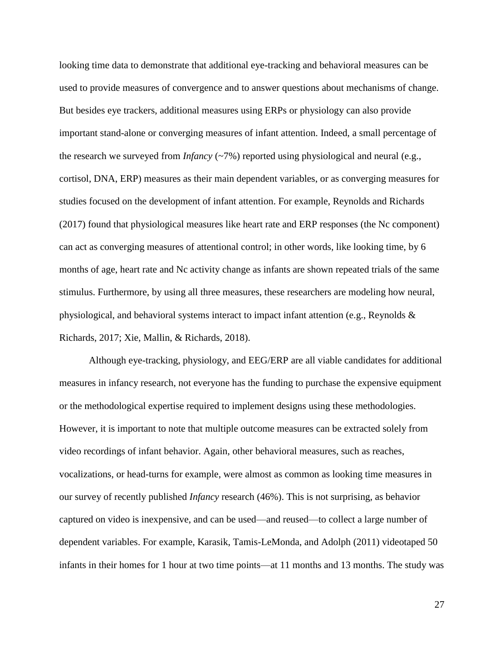looking time data to demonstrate that additional eye-tracking and behavioral measures can be used to provide measures of convergence and to answer questions about mechanisms of change. But besides eye trackers, additional measures using ERPs or physiology can also provide important stand-alone or converging measures of infant attention. Indeed, a small percentage of the research we surveyed from *Infancy* (~7%) reported using physiological and neural (e.g., cortisol, DNA, ERP) measures as their main dependent variables, or as converging measures for studies focused on the development of infant attention. For example, Reynolds and Richards (2017) found that physiological measures like heart rate and ERP responses (the Nc component) can act as converging measures of attentional control; in other words, like looking time, by 6 months of age, heart rate and Nc activity change as infants are shown repeated trials of the same stimulus. Furthermore, by using all three measures, these researchers are modeling how neural, physiological, and behavioral systems interact to impact infant attention (e.g., Reynolds & Richards, 2017; Xie, Mallin, & Richards, 2018).

Although eye-tracking, physiology, and EEG/ERP are all viable candidates for additional measures in infancy research, not everyone has the funding to purchase the expensive equipment or the methodological expertise required to implement designs using these methodologies. However, it is important to note that multiple outcome measures can be extracted solely from video recordings of infant behavior. Again, other behavioral measures, such as reaches, vocalizations, or head-turns for example, were almost as common as looking time measures in our survey of recently published *Infancy* research (46%). This is not surprising, as behavior captured on video is inexpensive, and can be used—and reused—to collect a large number of dependent variables. For example, Karasik, Tamis-LeMonda, and Adolph (2011) videotaped 50 infants in their homes for 1 hour at two time points—at 11 months and 13 months. The study was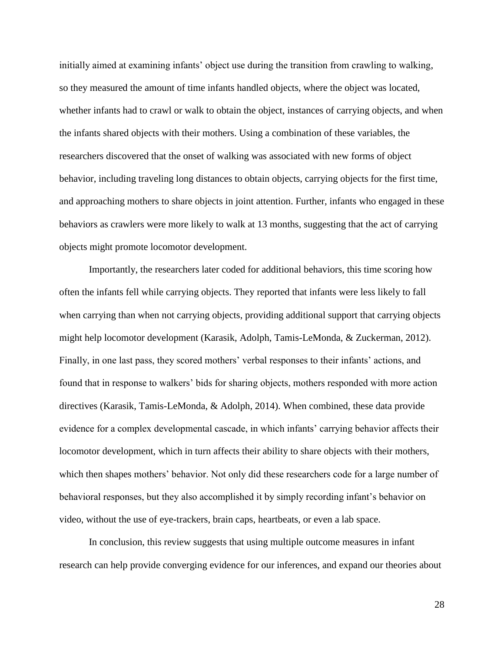initially aimed at examining infants' object use during the transition from crawling to walking, so they measured the amount of time infants handled objects, where the object was located, whether infants had to crawl or walk to obtain the object, instances of carrying objects, and when the infants shared objects with their mothers. Using a combination of these variables, the researchers discovered that the onset of walking was associated with new forms of object behavior, including traveling long distances to obtain objects, carrying objects for the first time, and approaching mothers to share objects in joint attention. Further, infants who engaged in these behaviors as crawlers were more likely to walk at 13 months, suggesting that the act of carrying objects might promote locomotor development.

Importantly, the researchers later coded for additional behaviors, this time scoring how often the infants fell while carrying objects. They reported that infants were less likely to fall when carrying than when not carrying objects, providing additional support that carrying objects might help locomotor development (Karasik, Adolph, Tamis-LeMonda, & Zuckerman, 2012). Finally, in one last pass, they scored mothers' verbal responses to their infants' actions, and found that in response to walkers' bids for sharing objects, mothers responded with more action directives (Karasik, Tamis-LeMonda, & Adolph, 2014). When combined, these data provide evidence for a complex developmental cascade, in which infants' carrying behavior affects their locomotor development, which in turn affects their ability to share objects with their mothers, which then shapes mothers' behavior. Not only did these researchers code for a large number of behavioral responses, but they also accomplished it by simply recording infant's behavior on video, without the use of eye-trackers, brain caps, heartbeats, or even a lab space.

In conclusion, this review suggests that using multiple outcome measures in infant research can help provide converging evidence for our inferences, and expand our theories about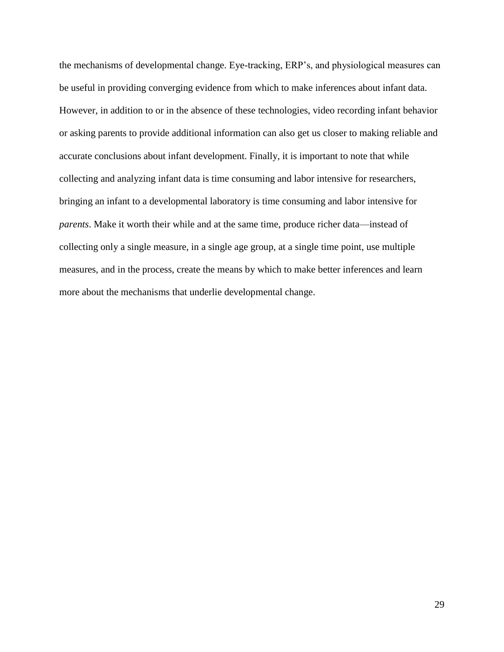the mechanisms of developmental change. Eye-tracking, ERP's, and physiological measures can be useful in providing converging evidence from which to make inferences about infant data. However, in addition to or in the absence of these technologies, video recording infant behavior or asking parents to provide additional information can also get us closer to making reliable and accurate conclusions about infant development. Finally, it is important to note that while collecting and analyzing infant data is time consuming and labor intensive for researchers, bringing an infant to a developmental laboratory is time consuming and labor intensive for *parents*. Make it worth their while and at the same time, produce richer data—instead of collecting only a single measure, in a single age group, at a single time point, use multiple measures, and in the process, create the means by which to make better inferences and learn more about the mechanisms that underlie developmental change.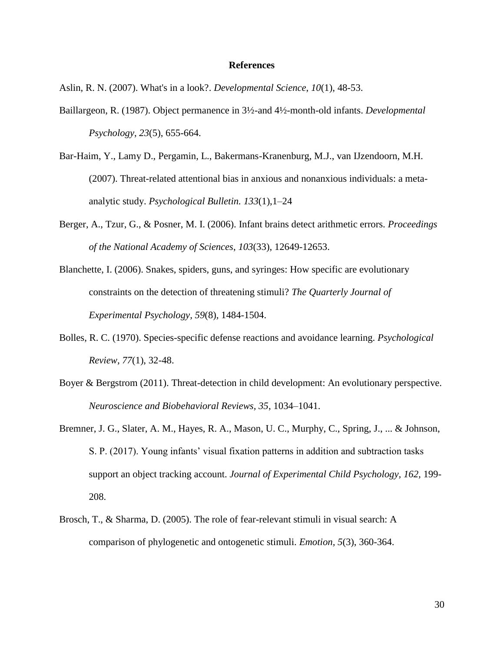#### **References**

Aslin, R. N. (2007). What's in a look?. *Developmental Science*, *10*(1), 48-53.

- Baillargeon, R. (1987). Object permanence in 3½-and 4½-month-old infants. *Developmental Psychology*, *23*(5), 655-664.
- Bar-Haim, Y., Lamy D., Pergamin, L., Bakermans-Kranenburg, M.J., van IJzendoorn, M.H. (2007). Threat-related attentional bias in anxious and nonanxious individuals: a metaanalytic study. *Psychological Bulletin. 133*(1),1–24
- Berger, A., Tzur, G., & Posner, M. I. (2006). Infant brains detect arithmetic errors. *Proceedings of the National Academy of Sciences*, *103*(33), 12649-12653.
- Blanchette, I. (2006). Snakes, spiders, guns, and syringes: How specific are evolutionary constraints on the detection of threatening stimuli? *The Quarterly Journal of Experimental Psychology, 59*(8)*,* 1484-1504.
- Bolles, R. C. (1970). Species-specific defense reactions and avoidance learning. *Psychological Review, 77*(1), 32-48.
- Boyer & Bergstrom (2011). Threat-detection in child development: An evolutionary perspective. *Neuroscience and Biobehavioral Reviews, 35*, 1034–1041.
- Bremner, J. G., Slater, A. M., Hayes, R. A., Mason, U. C., Murphy, C., Spring, J., ... & Johnson, S. P. (2017). Young infants' visual fixation patterns in addition and subtraction tasks support an object tracking account. *Journal of Experimental Child Psychology, 162,* 199- 208.
- Brosch, T., & Sharma, D. (2005). The role of fear-relevant stimuli in visual search: A comparison of phylogenetic and ontogenetic stimuli. *Emotion, 5*(3), 360-364.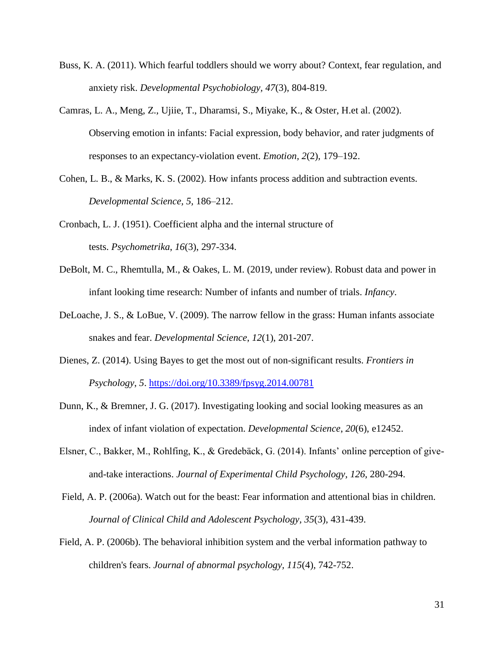- Buss, K. A. (2011). Which fearful toddlers should we worry about? Context, fear regulation, and anxiety risk. *Developmental Psychobiology, 47*(3), 804-819.
- Camras, L. A., Meng, Z., Ujiie, T., Dharamsi, S., Miyake, K., & Oster, H.et al. (2002). Observing emotion in infants: Facial expression, body behavior, and rater judgments of responses to an expectancy-violation event. *Emotion, 2*(2)*,* 179–192.
- Cohen, L. B., & Marks, K. S. (2002). How infants process addition and subtraction events. *Developmental Science, 5,* 186–212.
- Cronbach, L. J. (1951). Coefficient alpha and the internal structure of tests. *Psychometrika*, *16*(3), 297-334.
- DeBolt, M. C., Rhemtulla, M., & Oakes, L. M. (2019, under review). Robust data and power in infant looking time research: Number of infants and number of trials. *Infancy*.
- DeLoache, J. S., & LoBue, V. (2009). The narrow fellow in the grass: Human infants associate snakes and fear. *Developmental Science*, *12*(1), 201-207.
- Dienes, Z. (2014). Using Bayes to get the most out of non-significant results. *Frontiers in Psychology*, *5*.<https://doi.org/10.3389/fpsyg.2014.00781>
- Dunn, K., & Bremner, J. G. (2017). Investigating looking and social looking measures as an index of infant violation of expectation. *Developmental Science*, *20*(6), e12452.
- Elsner, C., Bakker, M., Rohlfing, K., & Gredebäck, G. (2014). Infants' online perception of giveand-take interactions. *Journal of Experimental Child Psychology*, *126*, 280-294.
- Field, A. P. (2006a). Watch out for the beast: Fear information and attentional bias in children. *Journal of Clinical Child and Adolescent Psychology, 35*(3)*,* 431-439.
- Field, A. P. (2006b). The behavioral inhibition system and the verbal information pathway to children's fears. *Journal of abnormal psychology, 115*(4)*,* 742-752.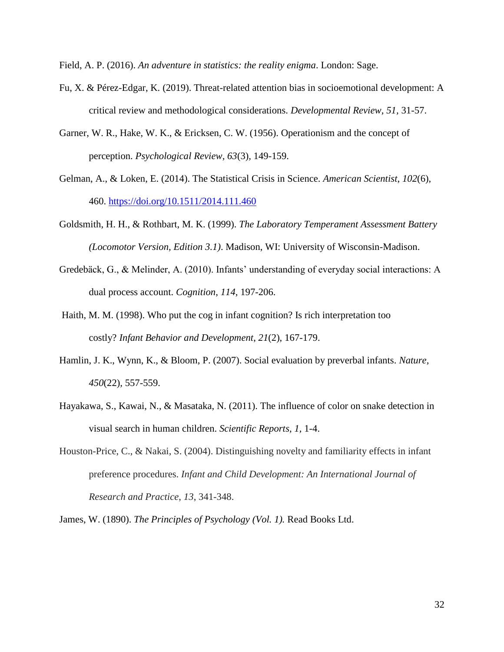Field, A. P. (2016). *An adventure in statistics: the reality enigma*. London: Sage.

- Fu, X. & Pérez-Edgar, K. (2019). Threat-related attention bias in socioemotional development: A critical review and methodological considerations. *Developmental Review, 51,* 31-57.
- Garner, W. R., Hake, W. K., & Ericksen, C. W. (1956). Operationism and the concept of perception. *Psychological Review, 63*(3)*,* 149-159.
- Gelman, A., & Loken, E. (2014). The Statistical Crisis in Science. *American Scientist*, *102*(6), 460.<https://doi.org/10.1511/2014.111.460>
- Goldsmith, H. H., & Rothbart, M. K. (1999). *The Laboratory Temperament Assessment Battery (Locomotor Version, Edition 3.1)*. Madison, WI: University of Wisconsin-Madison.
- Gredebäck, G., & Melinder, A. (2010). Infants' understanding of everyday social interactions: A dual process account. *Cognition*, *114*, 197-206.
- Haith, M. M. (1998). Who put the cog in infant cognition? Is rich interpretation too costly? *Infant Behavior and Development*, *21*(2), 167-179.
- Hamlin, J. K., Wynn, K., & Bloom, P. (2007). Social evaluation by preverbal infants. *Nature, 450*(22)*,* 557-559.
- Hayakawa, S., Kawai, N., & Masataka, N. (2011). The influence of color on snake detection in visual search in human children. *Scientific Reports, 1,* 1-4.
- Houston-Price, C., & Nakai, S. (2004). Distinguishing novelty and familiarity effects in infant preference procedures. *Infant and Child Development: An International Journal of Research and Practice*, *13*, 341-348.

James, W. (1890). *The Principles of Psychology (Vol. 1).* Read Books Ltd.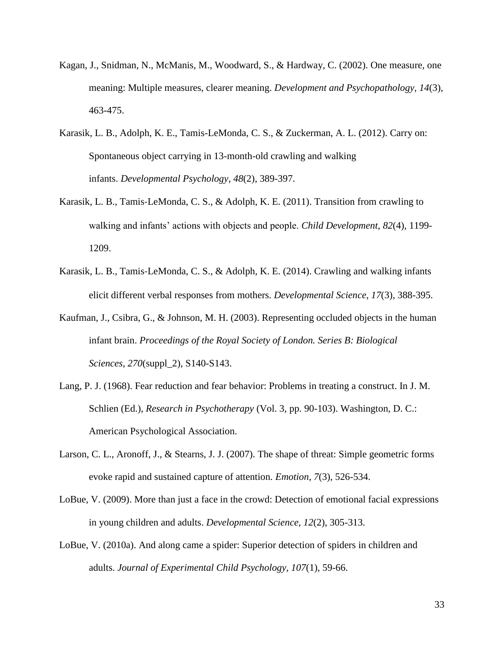- Kagan, J., Snidman, N., McManis, M., Woodward, S., & Hardway, C. (2002). One measure, one meaning: Multiple measures, clearer meaning. *Development and Psychopathology, 14*(3)*,* 463-475.
- Karasik, L. B., Adolph, K. E., Tamis-LeMonda, C. S., & Zuckerman, A. L. (2012). Carry on: Spontaneous object carrying in 13-month-old crawling and walking infants. *Developmental Psychology*, *48*(2), 389-397.
- Karasik, L. B., Tamis‐LeMonda, C. S., & Adolph, K. E. (2011). Transition from crawling to walking and infants' actions with objects and people. *Child Development*, *82*(4), 1199- 1209.
- Karasik, L. B., Tamis‐LeMonda, C. S., & Adolph, K. E. (2014). Crawling and walking infants elicit different verbal responses from mothers. *Developmental Science*, *17*(3), 388-395.
- Kaufman, J., Csibra, G., & Johnson, M. H. (2003). Representing occluded objects in the human infant brain. *Proceedings of the Royal Society of London. Series B: Biological Sciences*, *270*(suppl\_2), S140-S143.
- Lang, P. J. (1968). Fear reduction and fear behavior: Problems in treating a construct. In J. M. Schlien (Ed.), *Research in Psychotherapy* (Vol. 3, pp. 90-103). Washington, D. C.: American Psychological Association.
- Larson, C. L., Aronoff, J., & Stearns, J. J. (2007). The shape of threat: Simple geometric forms evoke rapid and sustained capture of attention. *Emotion*, *7*(3), 526-534.
- LoBue, V. (2009). More than just a face in the crowd: Detection of emotional facial expressions in young children and adults. *Developmental Science, 12*(2)*,* 305-313.
- LoBue, V. (2010a). And along came a spider: Superior detection of spiders in children and adults. *Journal of Experimental Child Psychology, 107*(1)*,* 59-66.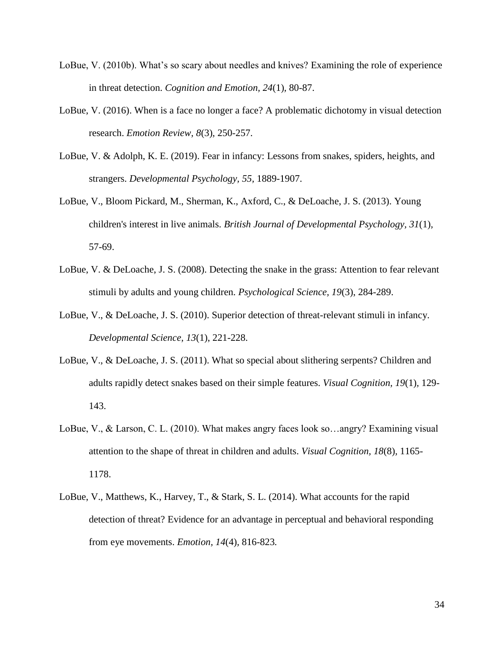- LoBue, V. (2010b). What's so scary about needles and knives? Examining the role of experience in threat detection. *Cognition and Emotion, 24*(1)*,* 80-87.
- LoBue, V. (2016). When is a face no longer a face? A problematic dichotomy in visual detection research. *Emotion Review, 8*(3)*,* 250-257.
- LoBue, V. & Adolph, K. E. (2019). Fear in infancy: Lessons from snakes, spiders, heights, and strangers. *Developmental Psychology, 55,* 1889-1907.
- LoBue, V., Bloom Pickard, M., Sherman, K., Axford, C., & DeLoache, J. S. (2013). Young children's interest in live animals. *British Journal of Developmental Psychology, 31*(1)*,*  57-69.
- LoBue, V. & DeLoache, J. S. (2008). Detecting the snake in the grass: Attention to fear relevant stimuli by adults and young children. *Psychological Science, 19*(3), 284-289.
- LoBue, V., & DeLoache, J. S. (2010). Superior detection of threat-relevant stimuli in infancy. *Developmental Science, 13*(1), 221-228.
- LoBue, V., & DeLoache, J. S. (2011). What so special about slithering serpents? Children and adults rapidly detect snakes based on their simple features. *Visual Cognition, 19*(1)*,* 129- 143.
- LoBue, V., & Larson, C. L. (2010). What makes angry faces look so…angry? Examining visual attention to the shape of threat in children and adults. *Visual Cognition, 18*(8)*,* 1165- 1178.
- LoBue, V., Matthews, K., Harvey, T., & Stark, S. L. (2014). What accounts for the rapid detection of threat? Evidence for an advantage in perceptual and behavioral responding from eye movements. *Emotion, 14*(4)*,* 816-823*.*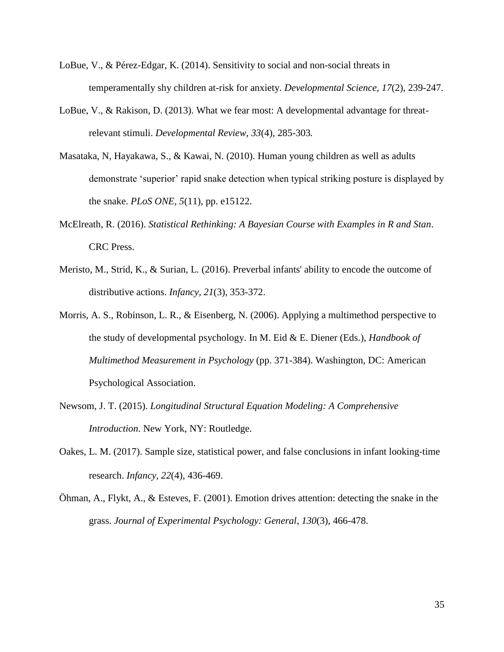- LoBue, V., & Pérez-Edgar, K. (2014). Sensitivity to social and non-social threats in temperamentally shy children at-risk for anxiety. *Developmental Science, 17*(2)*,* 239-247.
- LoBue, V., & Rakison, D. (2013). What we fear most: A developmental advantage for threatrelevant stimuli. *Developmental Review, 33*(4)*,* 285-303*.*
- Masataka, N, Hayakawa, S., & Kawai, N. (2010). Human young children as well as adults demonstrate 'superior' rapid snake detection when typical striking posture is displayed by the snake. *PLoS ONE, 5*(11)*,* pp. e15122.
- McElreath, R. (2016). *Statistical Rethinking: A Bayesian Course with Examples in R and Stan*. CRC Press.
- Meristo, M., Strid, K., & Surian, L. (2016). Preverbal infants' ability to encode the outcome of distributive actions. *Infancy, 21*(3)*,* 353-372.
- Morris, A. S., Robinson, L. R., & Eisenberg, N. (2006). Applying a multimethod perspective to the study of developmental psychology. In M. Eid & E. Diener (Eds.), *Handbook of Multimethod Measurement in Psychology* (pp. 371-384). Washington, DC: American Psychological Association.
- Newsom, J. T. (2015). *Longitudinal Structural Equation Modeling: A Comprehensive Introduction*. New York, NY: Routledge.
- Oakes, L. M. (2017). Sample size, statistical power, and false conclusions in infant looking‐time research. *Infancy*, *22*(4), 436-469.
- Öhman, A., Flykt, A., & Esteves, F. (2001). Emotion drives attention: detecting the snake in the grass. *Journal of Experimental Psychology: General*, *130*(3), 466-478.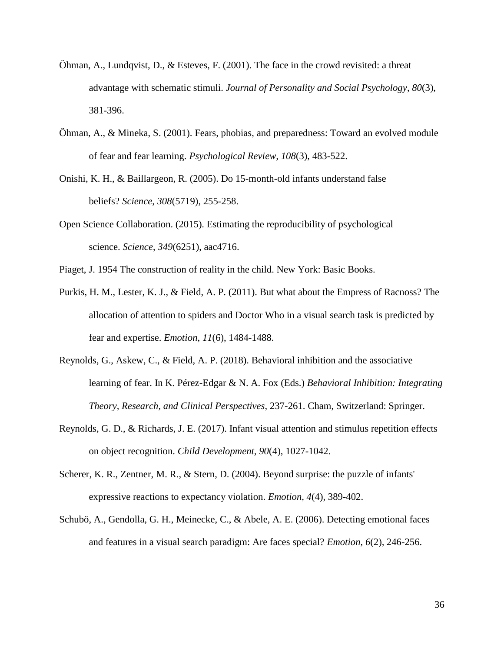- Öhman, A., Lundqvist, D., & Esteves, F. (2001). The face in the crowd revisited: a threat advantage with schematic stimuli. *Journal of Personality and Social Psychology*, *80*(3), 381-396.
- Öhman, A., & Mineka, S. (2001). Fears, phobias, and preparedness: Toward an evolved module of fear and fear learning. *Psychological Review, 108*(3), 483-522.
- Onishi, K. H., & Baillargeon, R. (2005). Do 15-month-old infants understand false beliefs? *Science*, *308*(5719), 255-258.
- Open Science Collaboration. (2015). Estimating the reproducibility of psychological science. *Science*, *349*(6251), aac4716.
- Piaget, J. 1954 The construction of reality in the child. New York: Basic Books.
- Purkis, H. M., Lester, K. J., & Field, A. P. (2011). But what about the Empress of Racnoss? The allocation of attention to spiders and Doctor Who in a visual search task is predicted by fear and expertise. *Emotion*, *11*(6), 1484-1488.
- Reynolds, G., Askew, C., & Field, A. P. (2018). Behavioral inhibition and the associative learning of fear. In K. Pérez-Edgar & N. A. Fox (Eds.) *Behavioral Inhibition: Integrating Theory, Research, and Clinical Perspectives*, 237-261. Cham, Switzerland: Springer.
- Reynolds, G. D., & Richards, J. E. (2017). Infant visual attention and stimulus repetition effects on object recognition. *Child Development, 90*(4), 1027-1042.
- Scherer, K. R., Zentner, M. R., & Stern, D. (2004). Beyond surprise: the puzzle of infants' expressive reactions to expectancy violation. *Emotion, 4*(4)*,* 389-402.
- Schubö, A., Gendolla, G. H., Meinecke, C., & Abele, A. E. (2006). Detecting emotional faces and features in a visual search paradigm: Are faces special? *Emotion, 6*(2)*,* 246-256.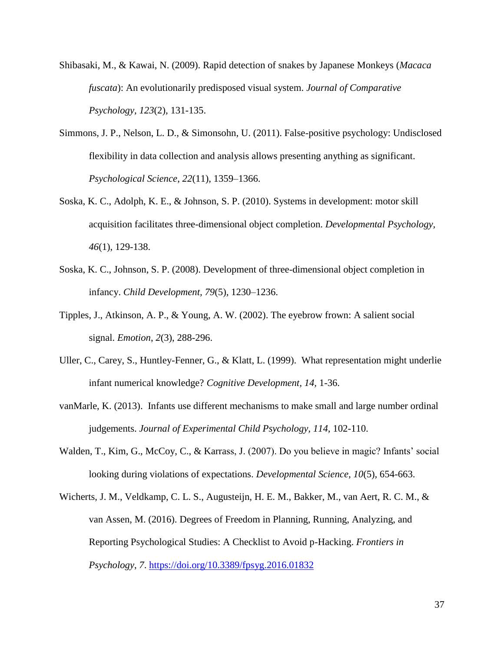- Shibasaki, M., & Kawai, N. (2009). Rapid detection of snakes by Japanese Monkeys (*Macaca fuscata*): An evolutionarily predisposed visual system. *Journal of Comparative Psychology, 123*(2)*,* 131-135.
- Simmons, J. P., Nelson, L. D., & Simonsohn, U. (2011). False-positive psychology: Undisclosed flexibility in data collection and analysis allows presenting anything as significant. *Psychological Science*, *22*(11), 1359–1366.
- Soska, K. C., Adolph, K. E., & Johnson, S. P. (2010). Systems in development: motor skill acquisition facilitates three-dimensional object completion. *Developmental Psychology, 46*(1), 129-138.
- Soska, K. C., Johnson, S. P. (2008). Development of three-dimensional object completion in infancy. *Child Development, 79*(5)*,* 1230–1236.
- Tipples, J., Atkinson, A. P., & Young, A. W. (2002). The eyebrow frown: A salient social signal. *Emotion*, *2*(3), 288-296.
- Uller, C., Carey, S., Huntley-Fenner, G., & Klatt, L. (1999). What representation might underlie infant numerical knowledge? *Cognitive Development, 14,* 1-36.
- vanMarle, K. (2013). Infants use different mechanisms to make small and large number ordinal judgements. *Journal of Experimental Child Psychology, 114,* 102-110.
- Walden, T., Kim, G., McCoy, C., & Karrass, J. (2007). Do you believe in magic? Infants' social looking during violations of expectations. *Developmental Science, 10*(5)*,* 654-663.
- Wicherts, J. M., Veldkamp, C. L. S., Augusteijn, H. E. M., Bakker, M., van Aert, R. C. M., & van Assen, M. (2016). Degrees of Freedom in Planning, Running, Analyzing, and Reporting Psychological Studies: A Checklist to Avoid p-Hacking. *Frontiers in Psychology*, *7*.<https://doi.org/10.3389/fpsyg.2016.01832>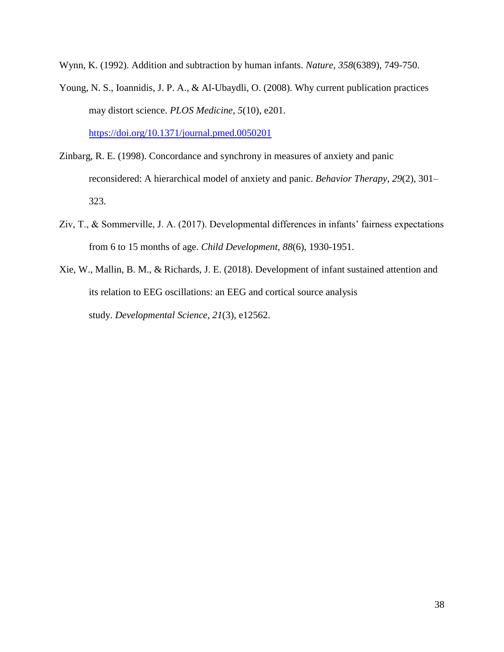Wynn, K. (1992). Addition and subtraction by human infants. *Nature, 358*(6389), 749-750.

Young, N. S., Ioannidis, J. P. A., & Al-Ubaydli, O. (2008). Why current publication practices may distort science. *PLOS Medicine*, *5*(10), e201.

<https://doi.org/10.1371/journal.pmed.0050201>

- Zinbarg, R. E. (1998). Concordance and synchrony in measures of anxiety and panic reconsidered: A hierarchical model of anxiety and panic. *Behavior Therapy*, *29*(2), 301– 323.
- Ziv, T., & Sommerville, J. A. (2017). Developmental differences in infants' fairness expectations from 6 to 15 months of age. *Child Development*, *88*(6), 1930-1951.
- Xie, W., Mallin, B. M., & Richards, J. E. (2018). Development of infant sustained attention and its relation to EEG oscillations: an EEG and cortical source analysis study. *Developmental Science*, *21*(3), e12562.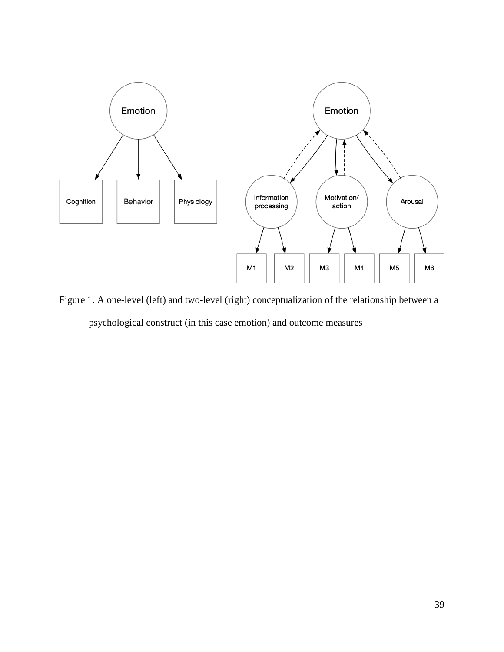

Figure 1. A one-level (left) and two-level (right) conceptualization of the relationship between a psychological construct (in this case emotion) and outcome measures